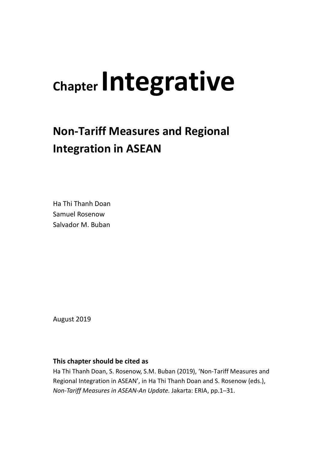# **Chapter Integrative**

# **Non-Tariff Measures and Regional Integration in ASEAN**

Ha Thi Thanh Doan Samuel Rosenow Salvador M. Buban

August 2019

### **This chapter should be cited as**

Ha Thi Thanh Doan, S. Rosenow, S.M. Buban (2019), 'Non-Tariff Measures and Regional Integration in ASEAN', in Ha Thi Thanh Doan and S. Rosenow (eds.), *Non-Tariff Measures in ASEAN-An Update.* Jakarta: ERIA, pp.1─31.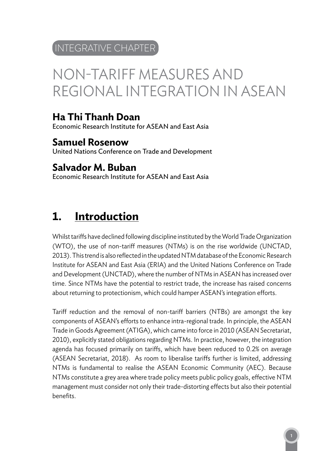### INTEGRATIVE CHAPTER

# NON-TARIFF MEASURES AND REGIONAL INTEGRATION IN ASEAN

### **Ha Thi Thanh Doan**

Economic Research Institute for ASEAN and East Asia

**Samuel Rosenow** United Nations Conference on Trade and Development

### **Salvador M. Buban**

Economic Research Institute for ASEAN and East Asia

### **1. Introduction**

Whilst tariffs have declined following discipline instituted by the World Trade Organization (WTO), the use of non-tariff measures (NTMs) is on the rise worldwide (UNCTAD, 2013). This trend is also reflected in the updated NTM database of the Economic Research Institute for ASEAN and East Asia (ERIA) and the United Nations Conference on Trade and Development (UNCTAD), where the number of NTMs in ASEAN has increased over time. Since NTMs have the potential to restrict trade, the increase has raised concerns about returning to protectionism, which could hamper ASEAN's integration efforts.

Tariff reduction and the removal of non-tariff barriers (NTBs) are amongst the key components of ASEAN's efforts to enhance intra-regional trade. In principle, the ASEAN Trade in Goods Agreement (ATIGA), which came into force in 2010 (ASEAN Secretariat, 2010), explicitly stated obligations regarding NTMs. In practice, however, the integration agenda has focused primarily on tariffs, which have been reduced to 0.2% on average (ASEAN Secretariat, 2018). As room to liberalise tariffs further is limited, addressing NTMs is fundamental to realise the ASEAN Economic Community (AEC). Because NTMs constitute a grey area where trade policy meets public policy goals, effective NTM management must consider not only their trade-distorting effects but also their potential benefits.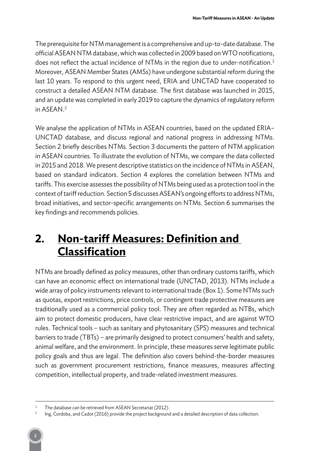The prerequisite for NTM management is a comprehensive and up-to-date database. The official ASEAN NTM database, which was collected in 2009 based on WTO notifications, does not reflect the actual incidence of NTMs in the region due to under-notification. 1 Moreover, ASEAN Member States (AMSs) have undergone substantial reform during the last 10 years. To respond to this urgent need, ERIA and UNCTAD have cooperated to construct a detailed ASEAN NTM database. The first database was launched in 2015, and an update was completed in early 2019 to capture the dynamics of regulatory reform in ASEAN. 2

We analyse the application of NTMs in ASEAN countries, based on the updated ERIA-UNCTAD database, and discuss regional and national progress in addressing NTMs. Section 2 briefly describes NTMs. Section 3 documents the pattern of NTM application in ASEAN countries. To illustrate the evolution of NTMs, we compare the data collected in 2015 and 2018. We present descriptive statistics on the incidence of NTMs in ASEAN, based on standard indicators. Section 4 explores the correlation between NTMs and tariffs. This exercise assesses the possibility of NTMs being used as a protection tool in the context of tariff reduction. Section 5 discusses ASEAN's ongoing efforts to address NTMs, broad initiatives, and sector-specific arrangements on NTMs. Section 6 summarises the key findings and recommends policies.

### **2. Non-tariff Measures: Definition and Classification**

NTMs are broadly defined as policy measures, other than ordinary customs tariffs, which can have an economic effect on international trade (UNCTAD, 2013). NTMs include a wide array of policy instruments relevant to international trade (Box 1). Some NTMs such as quotas, export restrictions, price controls, or contingent trade protective measures are traditionally used as a commercial policy tool. They are often regarded as NTBs, which aim to protect domestic producers, have clear restrictive impact, and are against WTO rules. Technical tools – such as sanitary and phytosanitary (SPS) measures and technical barriers to trade (TBTs) – are primarily designed to protect consumers' health and safety, animal welfare, and the environment. In principle, these measures serve legitimate public policy goals and thus are legal. The definition also covers behind-the-border measures such as government procurement restrictions, finance measures, measures affecting competition, intellectual property, and trade-related investment measures.

The database can be retrieved from ASEAN Secretariat (2012).

<sup>2</sup> Ing, Cordoba, and Cadot (2016) provide the project background and a detailed description of data collection.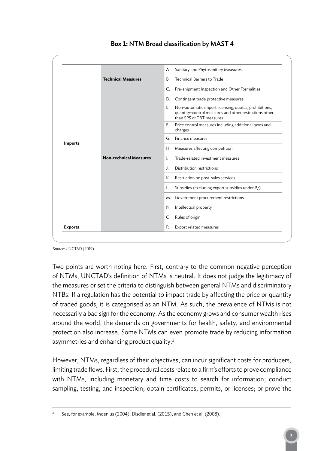

### **Box 1:** NTM Broad classification by MAST 4

Source: UNCTAD (2019).

Two points are worth noting here. First, contrary to the common negative perception of NTMs, UNCTAD's definition of NTMs is neutral. It does not judge the legitimacy of the measures or set the criteria to distinguish between general NTMs and discriminatory NTBs. If a regulation has the potential to impact trade by affecting the price or quantity of traded goods, it is categorised as an NTM. As such, the prevalence of NTMs is not necessarily a bad sign for the economy. As the economy grows and consumer wealth rises around the world, the demands on governments for health, safety, and environmental protection also increase. Some NTMs can even promote trade by reducing information asymmetries and enhancing product quality.<sup>3</sup>

However, NTMs, regardless of their objectives, can incur significant costs for producers, limiting trade flows. First, the procedural costs relate to a firm's efforts to prove compliance with NTMs, including monetary and time costs to search for information; conduct sampling, testing, and inspection; obtain certificates, permits, or licenses; or prove the

See, for example, Moenius (2004), Disdier et al. (2015), and Chen et al. (2008).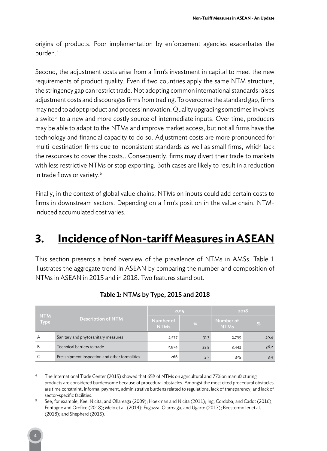origins of products. Poor implementation by enforcement agencies exacerbates the burden. 4

Second, the adjustment costs arise from a firm's investment in capital to meet the new requirements of product quality. Even if two countries apply the same NTM structure, the stringency gap can restrict trade. Not adopting common international standards raises adjustment costs and discourages firms from trading. To overcome the standard gap, firms may need to adopt product and process innovation. Quality upgrading sometimes involves a switch to a new and more costly source of intermediate inputs. Over time, producers may be able to adapt to the NTMs and improve market access, but not all firms have the technology and financial capacity to do so. Adjustment costs are more pronounced for multi-destination firms due to inconsistent standards as well as small firms, which lack the resources to cover the costs.. Consequently, firms may divert their trade to markets with less restrictive NTMs or stop exporting. Both cases are likely to result in a reduction in trade flows or variety. 5

Finally, in the context of global value chains, NTMs on inputs could add certain costs to firms in downstream sectors. Depending on a firm's position in the value chain, NTMinduced accumulated cost varies.

### **3. Incidence of Non-tariff Measures in ASEAN**

This section presents a brief overview of the prevalence of NTMs in AMSs. Table 1 illustrates the aggregate trend in ASEAN by comparing the number and composition of NTMs in ASEAN in 2015 and in 2018. Two features stand out.

| <b>NTM</b><br>Type | <b>Description of NTM</b>                     | 2015                     |      | 2018                     |      |  |
|--------------------|-----------------------------------------------|--------------------------|------|--------------------------|------|--|
|                    |                                               | Number of<br><b>NTMs</b> | %    | Number of<br><b>NTMs</b> | %    |  |
| A                  | Sanitary and phytosanitary measures           | 2,577                    | 31.3 | 2,795                    | 29.4 |  |
| B                  | Technical barriers to trade                   | 2,924                    | 35.5 | 3,443                    | 36.2 |  |
|                    | Pre-shipment inspection and other formalities | 266                      | 3.2  | 325                      | 3.4  |  |

### **Table 1:** NTMs by Type, 2015 and 2018

The International Trade Center (2015) showed that 65% of NTMs on agricultural and 77% on manufacturing products are considered burdensome because of procedural obstacles. Amongst the most cited procedural obstacles are time constraint, informal payment, administrative burdens related to regulations, lack of transparency, and lack of sector-specific facilities.

<sup>5</sup> See, for example, Kee, Nicita, and Ollareaga (2009); Hoekman and Nicita (2011); Ing, Cordoba, and Cadot (2016); Fontagne and Orefice (2018); Melo et al. (2014); Fugazza, Olarreaga, and Ugarte (2017); Beestermoller et al. (2018); and Shepherd (2015).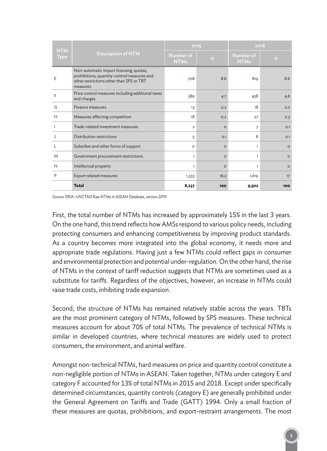| <b>NTM</b>  |                                                                                                                                                | 2015                     |         | 2018                     |          |  |
|-------------|------------------------------------------------------------------------------------------------------------------------------------------------|--------------------------|---------|--------------------------|----------|--|
| <b>Type</b> | <b>Description of NTM</b>                                                                                                                      | Number of<br><b>NTMs</b> | %       | Number of<br><b>NTMs</b> | %        |  |
| E           | Non-automatic import licensing, quotas,<br>prohibitions, quantity-control measures and<br>other restrictions other than SPS or TBT<br>measures | 708                      | 8.6     | 819                      | 8.6      |  |
| F           | Price control measures including additional taxes<br>and charges                                                                               | 389                      | 4.7     | 438                      | 4.6      |  |
| G           | Finance measures                                                                                                                               | 13                       | O.2     | 18                       | 0.2      |  |
| Н           | Measures affecting competition                                                                                                                 | 18                       | 0.2     | 27                       | O.3      |  |
|             | Trade-related investment measures                                                                                                              | $\overline{2}$           | $\circ$ | $\overline{7}$           | O.1      |  |
|             | Distribution restrictions                                                                                                                      | 5                        | O.1     | 8                        | O.1      |  |
|             | Subsidies and other forms of support                                                                                                           | $\circ$                  | $\circ$ | $\mathbf{1}$             | $\Omega$ |  |
| M           | Government procurement restrictions                                                                                                            | $\mathbf{1}$             | $\circ$ | $\mathbf{1}$             | $\circ$  |  |
| N           | Intellectual property                                                                                                                          | $\mathbf{1}$             | $\circ$ | 1                        | $\Omega$ |  |
| P           | Export related measures                                                                                                                        | 1,333                    | 16.2    | 1,619                    | 17       |  |
|             | <b>Total</b>                                                                                                                                   | 8,237                    | 100     | 9,502                    | 100      |  |

Source: ERIA–UNCTAD Raw NTMs in ASEAN Database, version 2019.

First, the total number of NTMs has increased by approximately 15% in the last 3 years. On the one hand, this trend reflects how AMSs respond to various policy needs, including protecting consumers and enhancing competitiveness by improving product standards. As a country becomes more integrated into the global economy, it needs more and appropriate trade regulations. Having just a few NTMs could reflect gaps in consumer and environmental protection and potential under-regulation. On the other hand, the rise of NTMs in the context of tariff reduction suggests that NTMs are sometimes used as a substitute for tariffs. Regardless of the objectives, however, an increase in NTMs could raise trade costs, inhibiting trade expansion.

Second, the structure of NTMs has remained relatively stable across the years. TBTs are the most prominent category of NTMs, followed by SPS measures. These technical measures account for about 70% of total NTMs. The prevalence of technical NTMs is similar in developed countries, where technical measures are widely used to protect consumers, the environment, and animal welfare.

Amongst non-technical NTMs, hard measures on price and quantity control constitute a non-negligible portion of NTMs in ASEAN. Taken together, NTMs under category E and category F accounted for 13% of total NTMs in 2015 and 2018. Except under specifically determined circumstances, quantity controls (category E) are generally prohibited under the General Agreement on Tariffs and Trade (GATT) 1994. Only a small fraction of these measures are quotas, prohibitions, and export-restraint arrangements. The most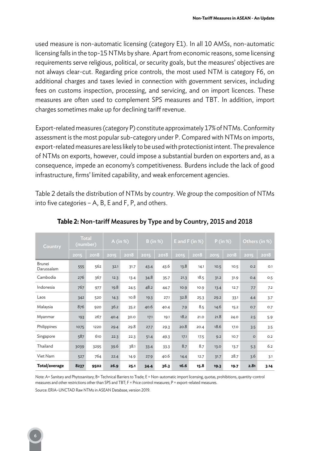used measure is non-automatic licensing (category E1). In all 10 AMSs, non-automatic licensing falls in the top-15 NTMs by share. Apart from economic reasons, some licensing requirements serve religious, political, or security goals, but the measures' objectives are not always clear-cut. Regarding price controls, the most used NTM is category F6, on additional charges and taxes levied in connection with government services, including fees on customs inspection, processing, and servicing, and on import licences. These measures are often used to complement SPS measures and TBT. In addition, import charges sometimes make up for declining tariff revenue.

Export-related measures (category P) constitute approximately 17% of NTMs. Conformity assessment is the most popular sub-category under P. Compared with NTMs on imports, export-related measures are less likely to be used with protectionist intent. The prevalence of NTMs on exports, however, could impose a substantial burden on exporters and, as a consequence, impede an economy's competitiveness. Burdens include the lack of good infrastructure, firms' limited capability, and weak enforcement agencies.

Table 2 details the distribution of NTMs by country. We group the composition of NTMs into five categories – A, B, E and F, P, and others.

| Country              | <b>Total</b><br>(number) |      | A (in $%$ ) |      | B (in %) |      | E and F $(in %)$ |      | P (in %) |      | Others (in %) |      |
|----------------------|--------------------------|------|-------------|------|----------|------|------------------|------|----------|------|---------------|------|
|                      | 2015                     | 2018 | 2015        | 2018 | 2015     | 2018 | 2015             | 2018 | 2015     | 2018 | 2015          | 2018 |
| Brunei<br>Darussalam | 555                      | 562  | 32.1        | 31.7 | 43.4     | 43.6 | 13.8             | 14.1 | 10.5     | 10.5 | O.2           | O.1  |
| Cambodia             | 276                      | 367  | 12.3        | 13.4 | 34.8     | 35.7 | 21.3             | 18.5 | 31.2     | 31.9 | O.4           | 0.5  |
| Indonesia            | 767                      | 977  | 19.8        | 24.5 | 48.2     | 44.7 | 10.9             | 10.9 | 13.4     | 12.7 | 7.7           | 7.2  |
| Laos                 | 342                      | 520  | 14.3        | 10.8 | 19.3     | 27.1 | 32.8             | 25.3 | 29.2     | 33.1 | 4.4           | 3.7  |
| Malaysia             | 876                      | 920  | 36.2        | 35.2 | 40.6     | 40.4 | 7.9              | 8.5  | 14.6     | 15.2 | 0.7           | 0.7  |
| Myanmar              | 193                      | 267  | 40.4        | 30.0 | 17.1     | 19.1 | 18.2             | 21.0 | 21.8     | 24.0 | 2.5           | 5.9  |
| Philippines          | 1075                     | 1220 | 29.4        | 29.8 | 27.7     | 29.3 | 20.8             | 20.4 | 18.6     | 17.0 | 3.5           | 3.5  |
| Singapore            | 587                      | 610  | 22.3        | 22.3 | 51.4     | 49.3 | 17.1             | 17.5 | 9.2      | 10.7 | $\circ$       | O.2  |
| Thailand             | 3039                     | 3295 | 39.6        | 38.1 | 33.4     | 33.3 | 8.7              | 8.7  | 13.0     | 13.7 | 5.3           | 6.2  |
| Viet Nam             | 527                      | 764  | 22.4        | 14.9 | 27.9     | 40.6 | 14.4             | 12.7 | 31.7     | 28.7 | 3.6           | 3.1  |
| Total/average        | 8237                     | 9502 | 26.9        | 25.1 | 34.4     | 36.3 | 16.6             | 15.8 | 19.3     | 19.7 | 2.81          | 3.14 |

**Table 2:** Non-tarif Measures by Type and by Country, 2015 and 2018

Note: A= Sanitary and Phytosanitary; B= Technical Barriers to Trade; E = Non-automatic import licensing, quotas, prohibitions, quantity-control measures and other restrictions other than SPS and TBT; F = Price control measures; P = export-related measures.

Source: ERIA–UNCTAD Raw NTMs in ASEAN Database, version 2019.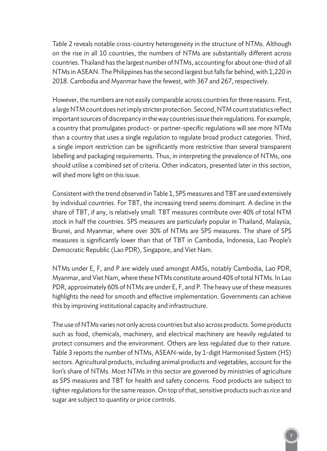Table 2 reveals notable cross-country heterogeneity in the structure of NTMs. Although on the rise in all 10 countries, the numbers of NTMs are substantially different across countries. Thailand has the largest number of NTMs, accounting for about one-third of all NTMs in ASEAN. The Philippines has the second largest but falls far behind, with 1,220 in 2018. Cambodia and Myanmar have the fewest, with 367 and 267, respectively.

However, the numbers are not easily comparable across countries for three reasons. First, a large NTM count does not imply stricter protection. Second, NTM count statistics reflect important sources of discrepancy in the way countries issue their regulations. For example, a country that promulgates product- or partner-specific regulations will see more NTMs than a country that uses a single regulation to regulate broad product categories. Third, a single import restriction can be significantly more restrictive than several transparent labelling and packaging requirements. Thus, in interpreting the prevalence of NTMs, one should utilise a combined set of criteria. Other indicators, presented later in this section, will shed more light on this issue.

Consistent with the trend observed in Table 1, SPS measures and TBT are used extensively by individual countries. For TBT, the increasing trend seems dominant. A decline in the share of TBT, if any, is relatively small. TBT measures contribute over 40% of total NTM stock in half the countries. SPS measures are particularly popular in Thailand, Malaysia, Brunei, and Myanmar, where over 30% of NTMs are SPS measures. The share of SPS measures is significantly lower than that of TBT in Cambodia, Indonesia, Lao People's Democratic Republic (Lao PDR), Singapore, and Viet Nam.

NTMs under E, F, and P are widely used amongst AMSs, notably Cambodia, Lao PDR, Myanmar, and Viet Nam, where these NTMs constitute around 40% of total NTMs. In Lao PDR, approximately 60% of NTMs are under E, F, and P. The heavy use of these measures highlights the need for smooth and effective implementation. Governments can achieve this by improving institutional capacity and infrastructure.

The use of NTMs varies not only across countries but also across products. Some products such as food, chemicals, machinery, and electrical machinery are heavily regulated to protect consumers and the environment. Others are less regulated due to their nature. Table 3 reports the number of NTMs, ASEAN-wide, by 1-digit Harmonised System (HS) sectors. Agricultural products, including animal products and vegetables, account for the lion's share of NTMs. Most NTMs in this sector are governed by ministries of agriculture as SPS measures and TBT for health and safety concerns. Food products are subject to tighter regulations for the same reason. On top of that, sensitive products such as rice and sugar are subject to quantity or price controls.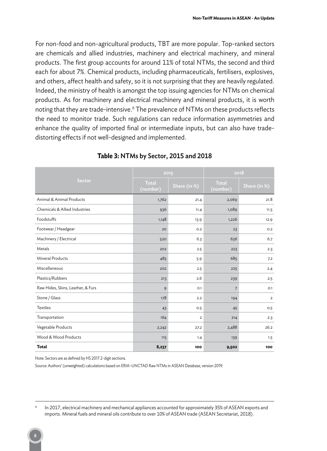For non-food and non-agricultural products, TBT are more popular. Top-ranked sectors are chemicals and allied industries, machinery and electrical machinery, and mineral products. The first group accounts for around 11% of total NTMs, the second and third each for about 7%. Chemical products, including pharmaceuticals, fertilisers, explosives, and others, affect health and safety, so it is not surprising that they are heavily regulated. Indeed, the ministry of health is amongst the top issuing agencies for NTMs on chemical products. As for machinery and electrical machinery and mineral products, it is worth noting that they are trade-intensive. $\rm ^6$  The prevalence of NTMs on these products reflects the need to monitor trade. Such regulations can reduce information asymmetries and enhance the quality of imported final or intermediate inputs, but can also have tradedistorting effects if not well-designed and implemented.

|                                   | 2015              |                | 2018                     |                         |  |
|-----------------------------------|-------------------|----------------|--------------------------|-------------------------|--|
| Sector                            | Total<br>(number) | Share (in %)   | <b>Total</b><br>(number) | Share (in %)            |  |
| Animal & Animal Products          | 1,762             | 21.4           | 2,069                    | 21.8                    |  |
| Chemicals & Allied Industries     | 936               | 11.4           | 1,089                    | 11.5                    |  |
| Foodstuffs                        | 1,148             | 13.9           | 1,226                    | 12.9                    |  |
| Footwear / Headgear               | 20                | 0.2            | 23                       | O.2                     |  |
| Machinery / Electrical            | 520               | 6.3            | 636                      | 6.7                     |  |
| Metals                            | 202               | 2.5            | 223                      | 2.3                     |  |
| <b>Mineral Products</b>           | 483               | 5.9            | 685                      | 7.2                     |  |
| Miscellaneous                     | 202               | 2.5            | 225                      | 2.4                     |  |
| Plastics/Rubbers                  | 213               | 2.6            | 239                      | 2.5                     |  |
| Raw Hides, Skins, Leather, & Furs | 9                 | O.1            | 7                        | O.1                     |  |
| Stone / Glass                     | 178               | 2.2            | 194                      | $\overline{\mathbf{2}}$ |  |
| <b>Textiles</b>                   | 43                | 0.5            | 45                       | 0.5                     |  |
| Transportation                    | 164               | $\overline{2}$ | 214                      | 2.3                     |  |
| Vegetable Products                | 2,242             | 27.2           | 2,488                    | 26.2                    |  |
| Wood & Wood Products              | 115               | 1.4            | 139                      | 1.5                     |  |
| <b>Total</b>                      | 8,237             | 100            | 9,502                    | 100                     |  |

#### **Table 3:** NTMs by Sector, 2015 and 2018

Note: Sectors are as defined by HS 2017 2-digit sections.

Source: Authors' (unweighted) calculations based on ERIA–UNCTAD Raw NTMs in ASEAN Database, version 2019.

In 2017, electrical machinery and mechanical appliances accounted for approximately 35% of ASEAN exports and imports. Mineral fuels and mineral oils contribute to over 10% of ASEAN trade (ASEAN Secretariat, 2018).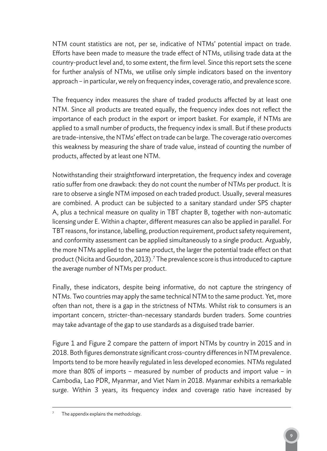NTM count statistics are not, per se, indicative of NTMs' potential impact on trade. Efforts have been made to measure the trade effect of NTMs, utilising trade data at the country-product level and, to some extent, the firm level. Since this report sets the scene for further analysis of NTMs, we utilise only simple indicators based on the inventory approach – in particular, we rely on frequency index, coverage ratio, and prevalence score.

The frequency index measures the share of traded products affected by at least one NTM. Since all products are treated equally, the frequency index does not reflect the importance of each product in the export or import basket. For example, if NTMs are applied to a small number of products, the frequency index is small. But if these products are trade-intensive, the NTMs' effect on trade can be large. The coverage ratio overcomes this weakness by measuring the share of trade value, instead of counting the number of products, affected by at least one NTM.

Notwithstanding their straightforward interpretation, the frequency index and coverage ratio suffer from one drawback: they do not count the number of NTMs per product. It is rare to observe a single NTM imposed on each traded product. Usually, several measures are combined. A product can be subjected to a sanitary standard under SPS chapter A, plus a technical measure on quality in TBT chapter B, together with non-automatic licensing under E. Within a chapter, different measures can also be applied in parallel. For TBT reasons, for instance, labelling, production requirement, product safety requirement, and conformity assessment can be applied simultaneously to a single product. Arguably, the more NTMs applied to the same product, the larger the potential trade effect on that product (Nicita and Gourdon, 2013). 7 The prevalence score is thus introduced to capture the average number of NTMs per product.

Finally, these indicators, despite being informative, do not capture the stringency of NTMs. Two countries may apply the same technical NTM to the same product. Yet, more often than not, there is a gap in the strictness of NTMs. Whilst risk to consumers is an important concern, stricter-than-necessary standards burden traders. Some countries may take advantage of the gap to use standards as a disguised trade barrier.

Figure 1 and Figure 2 compare the pattern of import NTMs by country in 2015 and in 2018. Both figures demonstrate significant cross-country differences in NTM prevalence. Imports tend to be more heavily regulated in less developed economies. NTMs regulated more than 80% of imports – measured by number of products and import value – in Cambodia, Lao PDR, Myanmar, and Viet Nam in 2018. Myanmar exhibits a remarkable surge. Within 3 years, its frequency index and coverage ratio have increased by

The appendix explains the methodology.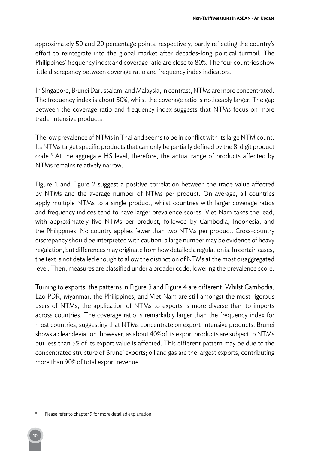approximately 50 and 20 percentage points, respectively, partly reflecting the country's effort to reintegrate into the global market after decades-long political turmoil. The Philippines' frequency index and coverage ratio are close to 80%. The four countries show little discrepancy between coverage ratio and frequency index indicators.

In Singapore, Brunei Darussalam, and Malaysia, in contrast, NTMs are more concentrated. The frequency index is about 50%, whilst the coverage ratio is noticeably larger. The gap between the coverage ratio and frequency index suggests that NTMs focus on more trade-intensive products.

The low prevalence of NTMs in Thailand seems to be in conflict with its large NTM count. Its NTMs target specific products that can only be partially defined by the 8-digit product code. 8 At the aggregate HS level, therefore, the actual range of products affected by NTMs remains relatively narrow.

Figure 1 and Figure 2 suggest a positive correlation between the trade value affected by NTMs and the average number of NTMs per product. On average, all countries apply multiple NTMs to a single product, whilst countries with larger coverage ratios and frequency indices tend to have larger prevalence scores. Viet Nam takes the lead, with approximately five NTMs per product, followed by Cambodia, Indonesia, and the Philippines. No country applies fewer than two NTMs per product. Cross-country discrepancy should be interpreted with caution: a large number may be evidence of heavy regulation, but differences may originate from how detailed a regulation is. In certain cases, the text is not detailed enough to allow the distinction of NTMs at the most disaggregated level. Then, measures are classified under a broader code, lowering the prevalence score.

Turning to exports, the patterns in Figure 3 and Figure 4 are different. Whilst Cambodia, Lao PDR, Myanmar, the Philippines, and Viet Nam are still amongst the most rigorous users of NTMs, the application of NTMs to exports is more diverse than to imports across countries. The coverage ratio is remarkably larger than the frequency index for most countries, suggesting that NTMs concentrate on export-intensive products. Brunei shows a clear deviation, however, as about 40% of its export products are subject to NTMs but less than 5% of its export value is affected. This different pattern may be due to the concentrated structure of Brunei exports; oil and gas are the largest exports, contributing more than 90% of total export revenue.

Please refer to chapter 9 for more detailed explanation.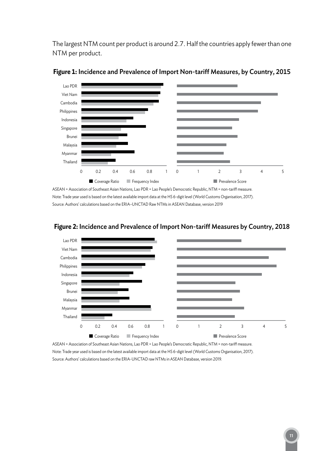The largest NTM count per product is around 2.7. Half the countries apply fewer than one NTM per product.





ASEAN = Association of Southeast Asian Nations, Lao PDR = Lao People's Democratic Republic, NTM = non-tarif measure. Note: Trade year used is based on the latest available import data at the HS 6-digit level (World Customs Organisation, 2017). Source: Authors' calculations based on the ERIA–UNCTAD Raw NTMs in ASEAN Database, version 2019



### **Figure 2:** Incidence and Prevalence of Import Non-tarif Measures by Country, 2018

ASEAN = Association of Southeast Asian Nations, Lao PDR = Lao People's Democratic Republic, NTM = non-tarif measure. Note: Trade year used is based on the latest available import data at the HS 6-digit level (World Customs Organisation, 2017). Source: Authors' calculations based on the ERIA-UNCTAD raw NTMs in ASEAN Database, version 2019.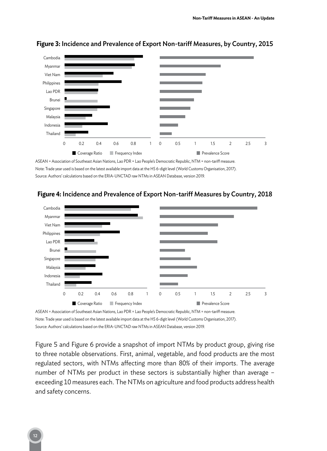

#### **Figure 3:** Incidence and Prevalence of Export Non-tarif Measures, by Country, 2015

ASEAN = Association of Southeast Asian Nations, Lao PDR = Lao People's Democratic Republic, NTM = non-tarif measure. Note: Trade year used is based on the latest available import data at the HS 6-digit level (World Customs Organisation, 2017). Source: Authors' calculations based on the ERIA-UNCTAD raw NTMs in ASEAN Database, version 2019.



#### **Figure 4:** Incidence and Prevalence of Export Non-tarif Measures by Country, 2018

Note: Trade year used is based on the latest available import data at the HS 6-digit level (World Customs Organisation, 2017). Source: Authors' calculations based on the ERIA-UNCTAD raw NTMs in ASEAN Database, version 2019.

Figure 5 and Figure 6 provide a snapshot of import NTMs by product group, giving rise to three notable observations. First, animal, vegetable, and food products are the most regulated sectors, with NTMs affecting more than 80% of their imports. The average number of NTMs per product in these sectors is substantially higher than average – exceeding 10 measures each. The NTMs on agriculture and food products address health and safety concerns.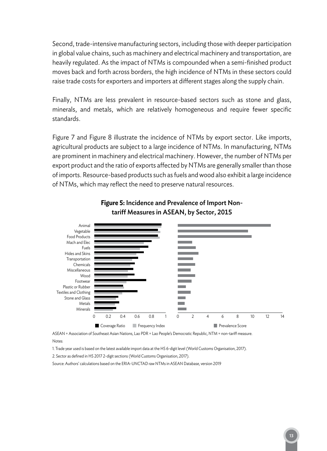Second, trade-intensive manufacturing sectors, including those with deeper participation in global value chains, such as machinery and electrical machinery and transportation, are heavily regulated. As the impact of NTMs is compounded when a semi-finished product moves back and forth across borders, the high incidence of NTMs in these sectors could raise trade costs for exporters and importers at different stages along the supply chain.

Finally, NTMs are less prevalent in resource-based sectors such as stone and glass, minerals, and metals, which are relatively homogeneous and require fewer specific standards.

Figure 7 and Figure 8 illustrate the incidence of NTMs by export sector. Like imports, agricultural products are subject to a large incidence of NTMs. In manufacturing, NTMs are prominent in machinery and electrical machinery. However, the number of NTMs per export product and the ratio of exports affected by NTMs are generally smaller than those of imports. Resource-based products such as fuels and wood also exhibit a large incidence of NTMs, which may reflect the need to preserve natural resources.



### **Figure 5:** Incidence and Prevalence of Import Nontarif Measures in ASEAN, by Sector, 2015

ASEAN = Association of Southeast Asian Nations, Lao PDR = Lao People's Democratic Republic, NTM = non-tarif measure. Notes:

1. Trade year used is based on the latest available import data at the HS 6-digit level (World Customs Organisation, 2017).

2. Sector as defined in HS 2017 2-digit sections (World Customs Organisation, 2017).

Source: Authors' calculations based on the ERIA-UNCTAD raw NTMs in ASEAN Database, version 2019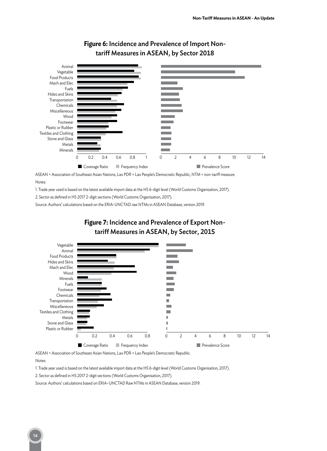

### **Figure 6:** Incidence and Prevalence of Import Nontariff Measures in ASEAN, by Sector 2018

ASEAN = Association of Southeast Asian Nations, Lao PDR = Lao People's Democratic Republic, NTM = non-tarif measure. Notes:

1. Trade year used is based on the latest available import data at the HS 6-digit level (World Customs Organisation, 2017).

2. Sector as defined in HS 2017 2-digit sections (World Customs Organisation, 2017).

Source: Authors' calculations based on the ERIA-UNCTAD raw NTMs in ASEAN Database, version 2019.



### **Figure 7:** Incidence and Prevalence of Export Nontariff Measures in ASEAN, by Sector, 2015

ASEAN = Association of Southeast Asian Nations, Lao PDR = Lao People's Democratic Republic.

Notes:

1. Trade year used is based on the latest available import data at the HS 6-digit level (World Customs Organisation, 2017).

2. Sector as defined in HS 2017 2-digit sections (World Customs Organisation, 2017).

Source: Authors' calculations based on ERIA–UNCTAD Raw NTMs in ASEAN Database, version 2019.

#### 14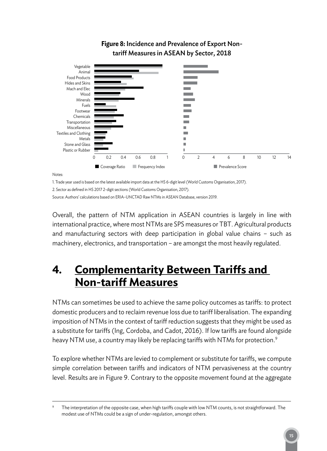

### **Figure 8:** Incidence and Prevalence of Export Nontariff Measures in ASEAN by Sector, 2018

1. Trade year used is based on the latest available import data at the HS 6-digit level (World Customs Organisation, 2017).

2. Sector as defined in HS 2017 2-digit sections (World Customs Organisation, 2017).

Source: Authors' calculations based on ERIA–UNCTAD Raw NTMs in ASEAN Database, version 2019.

Overall, the pattern of NTM application in ASEAN countries is largely in line with international practice, where most NTMs are SPS measures or TBT. Agricultural products and manufacturing sectors with deep participation in global value chains – such as machinery, electronics, and transportation – are amongst the most heavily regulated.

### **4. Complementarity Between Tariffs and Non-tariff Measures**

NTMs can sometimes be used to achieve the same policy outcomes as tariffs: to protect domestic producers and to reclaim revenue loss due to tariff liberalisation. The expanding imposition of NTMs in the context of tariff reduction suggests that they might be used as a substitute for tariffs (Ing, Cordoba, and Cadot, 2016). If low tariffs are found alongside heavy NTM use, a country may likely be replacing tariffs with NTMs for protection. 9

To explore whether NTMs are levied to complement or substitute for tariffs, we compute simple correlation between tariffs and indicators of NTM pervasiveness at the country level. Results are in Figure 9. Contrary to the opposite movement found at the aggregate

The interpretation of the opposite case, when high tariffs couple with low NTM counts, is not straightforward. The modest use of NTMs could be a sign of under-regulation, amongst others.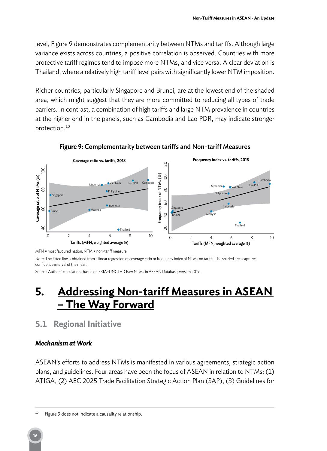level, Figure 9 demonstrates complementarity between NTMs and tariffs. Although large variance exists across countries, a positive correlation is observed. Countries with more protective tariff regimes tend to impose more NTMs, and vice versa. A clear deviation is Thailand, where a relatively high tariff level pairs with significantly lower NTM imposition.

Richer countries, particularly Singapore and Brunei, are at the lowest end of the shaded area, which might suggest that they are more committed to reducing all types of trade barriers. In contrast, a combination of high tariffs and large NTM prevalence in countries at the higher end in the panels, such as Cambodia and Lao PDR, may indicate stronger protection. 10



**Figure 9:** Complementarity between tarifs and Non-tarif Measures

Note: The fitted line is obtained from a linear regression of coverage ratio or frequency index of NTMs on tarifs. The shaded area captures confidence interval of the mean.

Source: Authors' calculations based on ERIA–UNCTAD Raw NTMs in ASEAN Database, version 2019.

### **5. Addressing Non-tariff Measures in ASEAN – The Way Forward**

### **5.1 Regional Initiative**

### *Mechanism at Work*

ASEAN's efforts to address NTMs is manifested in various agreements, strategic action plans, and guidelines. Four areas have been the focus of ASEAN in relation to NTMs: (1) ATIGA, (2) AEC 2025 Trade Facilitation Strategic Action Plan (SAP), (3) Guidelines for

MFN = most favoured nation, NTM = non-tariff measure.

<sup>&</sup>lt;sup>10</sup> Figure 9 does not indicate a causality relationship.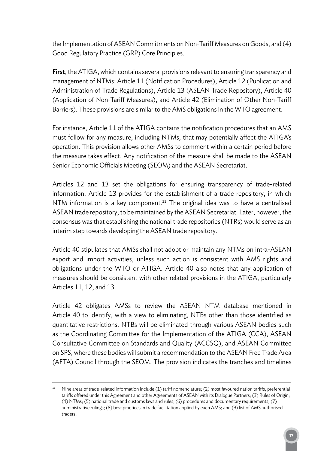the Implementation of ASEAN Commitments on Non-Tariff Measures on Goods, and (4) Good Regulatory Practice (GRP) Core Principles.

First, the ATIGA, which contains several provisions relevant to ensuring transparency and management of NTMs: Article 11 (Notification Procedures), Article 12 (Publication and Administration of Trade Regulations), Article 13 (ASEAN Trade Repository), Article 40 (Application of Non-Tariff Measures), and Article 42 (Elimination of Other Non-Tariff Barriers). These provisions are similar to the AMS obligations in the WTO agreement.

For instance, Article 11 of the ATIGA contains the notification procedures that an AMS must follow for any measure, including NTMs, that may potentially affect the ATIGA's operation. This provision allows other AMSs to comment within a certain period before the measure takes effect. Any notification of the measure shall be made to the ASEAN Senior Economic Officials Meeting (SEOM) and the ASEAN Secretariat.

Articles 12 and 13 set the obligations for ensuring transparency of trade-related information. Article 13 provides for the establishment of a trade repository, in which NTM information is a key component. <sup>11</sup> The original idea was to have a centralised ASEAN trade repository, to be maintained by the ASEAN Secretariat. Later, however, the consensus was that establishing the national trade repositories (NTRs) would serve as an interim step towards developing the ASEAN trade repository.

Article 40 stipulates that AMSs shall not adopt or maintain any NTMs on intra-ASEAN export and import activities, unless such action is consistent with AMS rights and obligations under the WTO or ATIGA. Article 40 also notes that any application of measures should be consistent with other related provisions in the ATIGA, particularly Articles 11, 12, and 13.

Article 42 obligates AMSs to review the ASEAN NTM database mentioned in Article 40 to identify, with a view to eliminating, NTBs other than those identified as quantitative restrictions. NTBs will be eliminated through various ASEAN bodies such as the Coordinating Committee for the Implementation of the ATIGA (CCA), ASEAN Consultative Committee on Standards and Quality (ACCSQ), and ASEAN Committee on SPS, where these bodies will submit a recommendation to the ASEAN Free Trade Area (AFTA) Council through the SEOM. The provision indicates the tranches and timelines

Nine areas of trade-related information include (1) tariff nomenclature; (2) most favoured nation tariffs, preferential tarifs ofered under this Agreement and other Agreements of ASEAN with its Dialogue Partners; (3) Rules of Origin; (4) NTMs; (5) national trade and customs laws and rules; (6) procedures and documentary requirements; (7) administrative rulings; (8) best practices in trade facilitation applied by each AMS; and (9) list of AMS authorised traders.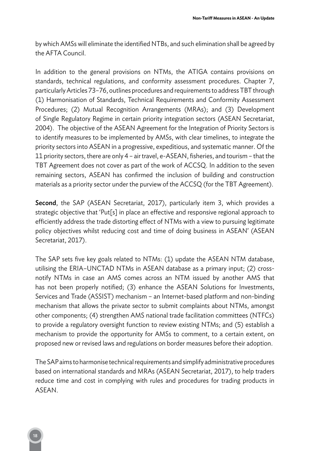by which AMSs will eliminate the identified NTBs, and such elimination shall be agreed by the AFTA Council.

In addition to the general provisions on NTMs, the ATIGA contains provisions on standards, technical regulations, and conformity assessment procedures. Chapter 7, particularly Articles 73–76, outlines procedures and requirements to address TBT through (1) Harmonisation of Standards, Technical Requirements and Conformity Assessment Procedures; (2) Mutual Recognition Arrangements (MRAs); and (3) Development of Single Regulatory Regime in certain priority integration sectors (ASEAN Secretariat, 2004). The objective of the ASEAN Agreement for the Integration of Priority Sectors is to identify measures to be implemented by AMSs, with clear timelines, to integrate the priority sectors into ASEAN in a progressive, expeditious, and systematic manner. Of the 11 priority sectors, there are only 4 – air travel, e-ASEAN, fisheries, and tourism – that the TBT Agreement does not cover as part of the work of ACCSQ. In addition to the seven remaining sectors, ASEAN has confirmed the inclusion of building and construction materials as a priority sector under the purview of the ACCSQ (for the TBT Agreement).

Second, the SAP (ASEAN Secretariat, 2017), particularly item 3, which provides a strategic objective that 'Put[s] in place an effective and responsive regional approach to efficiently address the trade distorting effect of NTMs with a view to pursuing legitimate policy objectives whilst reducing cost and time of doing business in ASEAN' (ASEAN Secretariat, 2017).

The SAP sets five key goals related to NTMs: (1) update the ASEAN NTM database, utilising the ERIA–UNCTAD NTMs in ASEAN database as a primary input; (2) crossnotify NTMs in case an AMS comes across an NTM issued by another AMS that has not been properly notified; (3) enhance the ASEAN Solutions for Investments, Services and Trade (ASSIST) mechanism – an Internet-based platform and non-binding mechanism that allows the private sector to submit complaints about NTMs, amongst other components; (4) strengthen AMS national trade facilitation committees (NTFCs) to provide a regulatory oversight function to review existing NTMs; and (5) establish a mechanism to provide the opportunity for AMSs to comment, to a certain extent, on proposed new or revised laws and regulations on border measures before their adoption.

The SAP aims to harmonise technical requirements and simplify administrative procedures based on international standards and MRAs (ASEAN Secretariat, 2017), to help traders reduce time and cost in complying with rules and procedures for trading products in ASEAN.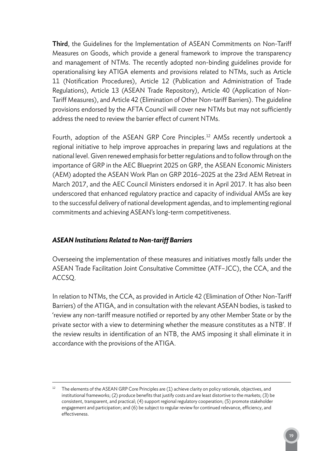Third, the Guidelines for the Implementation of ASEAN Commitments on Non-Tariff Measures on Goods, which provide a general framework to improve the transparency and management of NTMs. The recently adopted non-binding guidelines provide for operationalising key ATIGA elements and provisions related to NTMs, such as Article 11 (Notification Procedures), Article 12 (Publication and Administration of Trade Regulations), Article 13 (ASEAN Trade Repository), Article 40 (Application of Non-Tariff Measures), and Article 42 (Elimination of Other Non-tariff Barriers). The guideline provisions endorsed by the AFTA Council will cover new NTMs but may not sufficiently address the need to review the barrier effect of current NTMs.

Fourth, adoption of the ASEAN GRP Core Principles. <sup>12</sup> AMSs recently undertook a regional initiative to help improve approaches in preparing laws and regulations at the national level. Given renewed emphasis for better regulations and to follow through on the importance of GRP in the AEC Blueprint 2025 on GRP, the ASEAN Economic Ministers (AEM) adopted the ASEAN Work Plan on GRP 2016–2025 at the 23rd AEM Retreat in March 2017, and the AEC Council Ministers endorsed it in April 2017. It has also been underscored that enhanced regulatory practice and capacity of individual AMSs are key to the successful delivery of national development agendas, and to implementing regional commitments and achieving ASEAN's long-term competitiveness.

### *ASEAN Institutions Related to Non-tariff Barriers*

Overseeing the implementation of these measures and initiatives mostly falls under the ASEAN Trade Facilitation Joint Consultative Committee (ATF–JCC), the CCA, and the ACCSQ.

In relation to NTMs, the CCA, as provided in Article 42 (Elimination of Other Non-Tariff Barriers) of the ATIGA, and in consultation with the relevant ASEAN bodies, is tasked to 'review any non-tariff measure notified or reported by any other Member State or by the private sector with a view to determining whether the measure constitutes as a NTB'. If the review results in identification of an NTB, the AMS imposing it shall eliminate it in accordance with the provisions of the ATIGA.

The elements of the ASEAN GRP Core Principles are (1) achieve clarity on policy rationale, objectives, and institutional frameworks; (2) produce benefits that justify costs and are least distortive to the markets; (3) be consistent, transparent, and practical; (4) support regional regulatory cooperation; (5) promote stakeholder engagement and participation; and (6) be subject to regular review for continued relevance, efficiency, and efectiveness.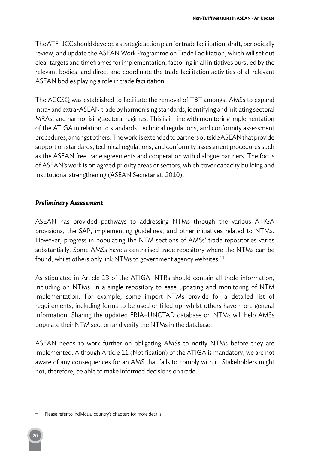The ATF–JCC should develop a strategic action plan for trade facilitation; draft, periodically review, and update the ASEAN Work Programme on Trade Facilitation, which will set out clear targets and timeframes for implementation, factoring in all initiatives pursued by the relevant bodies; and direct and coordinate the trade facilitation activities of all relevant ASEAN bodies playing a role in trade facilitation.

The ACCSQ was established to facilitate the removal of TBT amongst AMSs to expand intra- and extra-ASEAN trade by harmonising standards, identifying and initiating sectoral MRAs, and harmonising sectoral regimes. This is in line with monitoring implementation of the ATIGA in relation to standards, technical regulations, and conformity assessment procedures, amongst others. The work is extended to partners outside ASEAN that provide support on standards, technical regulations, and conformity assessment procedures such as the ASEAN free trade agreements and cooperation with dialogue partners. The focus of ASEAN's work is on agreed priority areas or sectors, which cover capacity building and institutional strengthening (ASEAN Secretariat, 2010).

#### *Preliminary Assessment*

ASEAN has provided pathways to addressing NTMs through the various ATIGA provisions, the SAP, implementing guidelines, and other initiatives related to NTMs. However, progress in populating the NTM sections of AMSs' trade repositories varies substantially. Some AMSs have a centralised trade repository where the NTMs can be found, whilst others only link NTMs to government agency websites. $^{\rm 13}$ 

As stipulated in Article 13 of the ATIGA, NTRs should contain all trade information, including on NTMs, in a single repository to ease updating and monitoring of NTM implementation. For example, some import NTMs provide for a detailed list of requirements, including forms to be used or filled up, whilst others have more general information. Sharing the updated ERIA–UNCTAD database on NTMs will help AMSs populate their NTM section and verify the NTMs in the database.

ASEAN needs to work further on obligating AMSs to notify NTMs before they are implemented. Although Article 11 (Notification) of the ATIGA is mandatory, we are not aware of any consequences for an AMS that fails to comply with it. Stakeholders might not, therefore, be able to make informed decisions on trade.

<sup>&</sup>lt;sup>13</sup> Please refer to individual country's chapters for more details.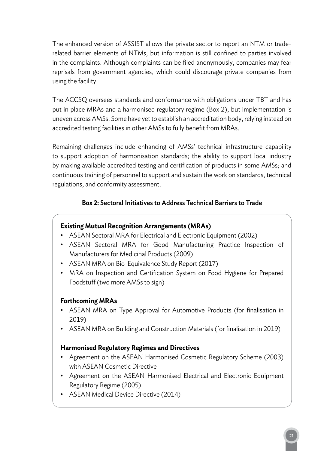The enhanced version of ASSIST allows the private sector to report an NTM or traderelated barrier elements of NTMs, but information is still confined to parties involved in the complaints. Although complaints can be filed anonymously, companies may fear reprisals from government agencies, which could discourage private companies from using the facility.

The ACCSQ oversees standards and conformance with obligations under TBT and has put in place MRAs and a harmonised regulatory regime (Box 2), but implementation is uneven across AMSs. Some have yet to establish an accreditation body, relying instead on accredited testing facilities in other AMSs to fully benefit from MRAs.

Remaining challenges include enhancing of AMSs' technical infrastructure capability to support adoption of harmonisation standards; the ability to support local industry by making available accredited testing and certification of products in some AMSs; and continuous training of personnel to support and sustain the work on standards, technical regulations, and conformity assessment.

### **Box 2:** Sectoral Initiatives to Address Technical Barriers to Trade

### **Existing Mutual Recognition Arrangements (MRAs)**

- ASEAN Sectoral MRA for Electrical and Electronic Equipment (2002)
- ASEAN Sectoral MRA for Good Manufacturing Practice Inspection of Manufacturers for Medicinal Products (2009)
- ASEAN MRA on Bio-Equivalence Study Report (2017)
- MRA on Inspection and Certification System on Food Hygiene for Prepared Foodstuff (two more AMSs to sign)

### **Forthcoming MRAs**

- ASEAN MRA on Type Approval for Automotive Products (for finalisation in 2019)
- ASEAN MRA on Building and Construction Materials (for finalisation in 2019)

### **Harmonised Regulatory Regimes and Directives**

- Agreement on the ASEAN Harmonised Cosmetic Regulatory Scheme (2003) with ASEAN Cosmetic Directive
- Agreement on the ASEAN Harmonised Electrical and Electronic Equipment Regulatory Regime (2005)
- ASEAN Medical Device Directive (2014)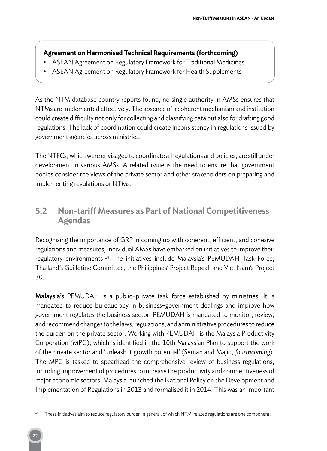### **Agreement on Harmonised Technical Requirements (forthcoming)**

- ASEAN Agreement on Regulatory Framework for Traditional Medicines
- ASEAN Agreement on Regulatory Framework for Health Supplements

As the NTM database country reports found, no single authority in AMSs ensures that NTMs are implemented effectively. The absence of a coherent mechanism and institution could create difficulty not only for collecting and classifying data but also for drafting good regulations. The lack of coordination could create inconsistency in regulations issued by government agencies across ministries.

The NTFCs, which were envisaged to coordinate all regulations and policies, are still under development in various AMSs. A related issue is the need to ensure that government bodies consider the views of the private sector and other stakeholders on preparing and implementing regulations or NTMs.

### **5.2 Non-tariff Measures as Part of National Competitiveness Agendas**

Recognising the importance of GRP in coming up with coherent, efficient, and cohesive regulations and measures, individual AMSs have embarked on initiatives to improve their regulatory environments.<sup>14</sup> The initiatives include Malaysia's PEMUDAH Task Force, Thailand's Guillotine Committee, the Philippines' Project Repeal, and Viet Nam's Project 30.

Malaysia's PEMUDAH is a public-private task force established by ministries. It is mandated to reduce bureaucracy in business–government dealings and improve how government regulates the business sector. PEMUDAH is mandated to monitor, review, and recommend changes to the laws, regulations, and administrative procedures to reduce the burden on the private sector. Working with PEMUDAH is the Malaysia Productivity Corporation (MPC), which is identified in the 10th Malaysian Plan to support the work of the private sector and 'unleash it growth potential' (Seman and Majid, *fourthcoming*). The MPC is tasked to spearhead the comprehensive review of business regulations, including improvement of procedures to increase the productivity and competitiveness of major economic sectors. Malaysia launched the National Policy on the Development and Implementation of Regulations in 2013 and formalised it in 2014. This was an important

<sup>&</sup>lt;sup>14</sup> These initiatives aim to reduce regulatory burden in general, of which NTM-related regulations are one component.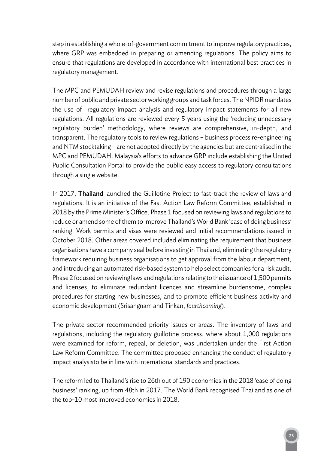step in establishing a whole-of-government commitment to improve regulatory practices, where GRP was embedded in preparing or amending regulations. The policy aims to ensure that regulations are developed in accordance with international best practices in regulatory management.

The MPC and PEMUDAH review and revise regulations and procedures through a large number of public and private sector working groups and task forces. The NPIDR mandates the use of regulatory impact analysis and regulatory impact statements for all new regulations. All regulations are reviewed every 5 years using the 'reducing unnecessary regulatory burden' methodology, where reviews are comprehensive, in-depth, and transparent. The regulatory tools to review regulations – business process re-engineering and NTM stocktaking – are not adopted directly by the agencies but are centralised in the MPC and PEMUDAH. Malaysia's efforts to advance GRP include establishing the United Public Consultation Portal to provide the public easy access to regulatory consultations through a single website.

In 2017, **Thailand** launched the Guillotine Project to fast-track the review of laws and regulations. It is an initiative of the Fast Action Law Reform Committee, established in 2018 by the Prime Minister's Office. Phase 1 focused on reviewing laws and regulations to reduce or amend some of them to improve Thailand's World Bank 'ease of doing business' ranking. Work permits and visas were reviewed and initial recommendations issued in October 2018. Other areas covered included eliminating the requirement that business organisations have a company seal before investing in Thailand, eliminating the regulatory framework requiring business organisations to get approval from the labour department, and introducing an automated risk-based system to help select companies for a risk audit. Phase 2 focused on reviewing laws and regulations relating to the issuance of 1,500 permits and licenses, to eliminate redundant licences and streamline burdensome, complex procedures for starting new businesses, and to promote efficient business activity and economic development (Srisangnam and Tinkan, *fourthcoming*).

The private sector recommended priority issues or areas. The inventory of laws and regulations, including the regulatory guillotine process, where about 1,000 regulations were examined for reform, repeal, or deletion, was undertaken under the First Action Law Reform Committee. The committee proposed enhancing the conduct of regulatory impact analysisto be in line with international standards and practices.

The reform led to Thailand's rise to 26th out of 190 economies in the 2018 'ease of doing business' ranking, up from 48th in 2017. The World Bank recognised Thailand as one of the top-10 most improved economies in 2018.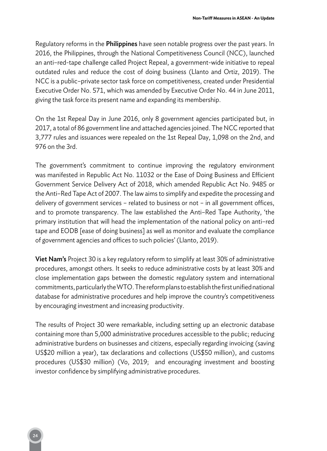Regulatory reforms in the **Philippines** have seen notable progress over the past years. In 2016, the Philippines, through the National Competitiveness Council (NCC), launched an anti–red-tape challenge called Project Repeal, a government-wide initiative to repeal outdated rules and reduce the cost of doing business (Llanto and Ortiz, 2019). The NCC is a public–private sector task force on competitiveness, created under Presidential Executive Order No. 571, which was amended by Executive Order No. 44 in June 2011, giving the task force its present name and expanding its membership.

On the 1st Repeal Day in June 2016, only 8 government agencies participated but, in 2017, a total of 86 government line and attached agencies joined. The NCC reported that 3,777 rules and issuances were repealed on the 1st Repeal Day, 1,098 on the 2nd, and 976 on the 3rd.

The government's commitment to continue improving the regulatory environment was manifested in Republic Act No. 11032 or the Ease of Doing Business and Efficient Government Service Delivery Act of 2018, which amended Republic Act No. 9485 or the Anti–Red Tape Act of 2007. The law aims to simplify and expedite the processing and delivery of government services – related to business or not – in all government offices, and to promote transparency. The law established the Anti–Red Tape Authority, 'the primary institution that will head the implementation of the national policy on anti–red tape and EODB [ease of doing business] as well as monitor and evaluate the compliance of government agencies and offices to such policies' (Llanto, 2019).

Viet Nam's Project 30 is a key regulatory reform to simplify at least 30% of administrative procedures, amongst others. It seeks to reduce administrative costs by at least 30% and close implementation gaps between the domestic regulatory system and international commitments, particularly the WTO. The reform plans to establish the first unified national database for administrative procedures and help improve the country's competitiveness by encouraging investment and increasing productivity.

The results of Project 30 were remarkable, including setting up an electronic database containing more than 5,000 administrative procedures accessible to the public; reducing administrative burdens on businesses and citizens, especially regarding invoicing (saving US\$20 million a year), tax declarations and collections (US\$50 million), and customs procedures (US\$30 million) (Vo, 2019; and encouraging investment and boosting investor confidence by simplifying administrative procedures.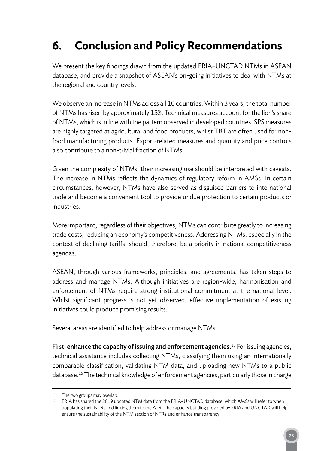## **6. Conclusion and Policy Recommendations**

We present the key findings drawn from the updated ERIA–UNCTAD NTMs in ASEAN database, and provide a snapshot of ASEAN's on-going initiatives to deal with NTMs at the regional and country levels.

We observe an increase in NTMs across all 10 countries. Within 3 years, the total number of NTMs has risen by approximately 15%. Technical measures account for the lion's share of NTMs, which is in line with the pattern observed in developed countries. SPS measures are highly targeted at agricultural and food products, whilst TBT are often used for nonfood manufacturing products. Export-related measures and quantity and price controls also contribute to a non-trivial fraction of NTMs.

Given the complexity of NTMs, their increasing use should be interpreted with caveats. The increase in NTMs reflects the dynamics of regulatory reform in AMSs. In certain circumstances, however, NTMs have also served as disguised barriers to international trade and become a convenient tool to provide undue protection to certain products or industries.

More important, regardless of their objectives, NTMs can contribute greatly to increasing trade costs, reducing an economy's competitiveness. Addressing NTMs, especially in the context of declining tariffs, should, therefore, be a priority in national competitiveness agendas.

ASEAN, through various frameworks, principles, and agreements, has taken steps to address and manage NTMs. Although initiatives are region-wide, harmonisation and enforcement of NTMs require strong institutional commitment at the national level. Whilst significant progress is not yet observed, effective implementation of existing initiatives could produce promising results.

Several areas are identified to help address or manage NTMs.

First, **enhance the capacity of issuing and enforcement agencies.**<sup>15</sup> For issuing agencies, technical assistance includes collecting NTMs, classifying them using an internationally comparable classification, validating NTM data, and uploading new NTMs to a public database. <sup>16</sup> The technical knowledge of enforcement agencies, particularly those in charge

<sup>&</sup>lt;sup>15</sup> The two groups may overlap.

<sup>&</sup>lt;sup>16</sup> ERIA has shared the 2019 updated NTM data from the ERIA-UNCTAD database, which AMSs will refer to when populating their NTRs and linking them to the ATR. The capacity building provided by ERIA and UNCTAD will help ensure the sustainability of the NTM section of NTRs and enhance transparency.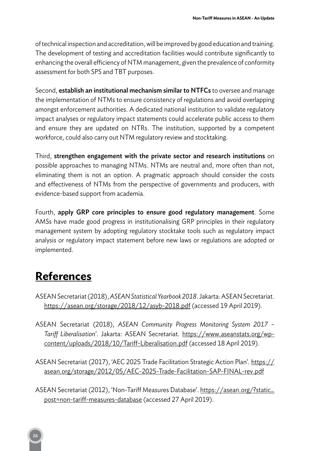of technical inspection and accreditation, will be improved by good education and training. The development of testing and accreditation facilities would contribute significantly to enhancing the overall efficiency of NTM management, given the prevalence of conformity assessment for both SPS and TBT purposes.

Second, establish an institutional mechanism similar to NTFCs to oversee and manage the implementation of NTMs to ensure consistency of regulations and avoid overlapping amongst enforcement authorities. A dedicated national institution to validate regulatory impact analyses or regulatory impact statements could accelerate public access to them and ensure they are updated on NTRs. The institution, supported by a competent workforce, could also carry out NTM regulatory review and stocktaking.

Third, strengthen engagement with the private sector and research institutions on possible approaches to managing NTMs. NTMs are neutral and, more often than not, eliminating them is not an option. A pragmatic approach should consider the costs and effectiveness of NTMs from the perspective of governments and producers, with evidence-based support from academia.

Fourth, apply GRP core principles to ensure good regulatory management. Some AMSs have made good progress in institutionalising GRP principles in their regulatory management system by adopting regulatory stocktake tools such as regulatory impact analysis or regulatory impact statement before new laws or regulations are adopted or implemented.

### **References**

- ASEAN Secretariat (2018),*ASEAN Statistical Yearbook 2018*. Jakarta: ASEAN Secretariat. https://asean.org/storage/2018/12/asyb-2018.pdf (accessed 19 April 2019).
- ASEAN Secretariat (2018), *ASEAN Community Progress Monitoring System 2017 Tariff Liberalisation*'. Jakarta: ASEAN Secretariat. https://www.aseanstats.org/wpcontent/uploads/2018/10/Tariff-Liberalisation.pdf (accessed 18 April 2019).
- ASEAN Secretariat (2017), 'AEC 2025 Trade Facilitation Strategic Action Plan'. https:// asean.org/storage/2012/05/AEC-2025-Trade-Facilitation-SAP-FINAL-rev.pdf
- ASEAN Secretariat (2012), 'Non-Tariff Measures Database'. https://asean.org/?static\_ post=non-tariff-measures-database (accessed 27 April 2019).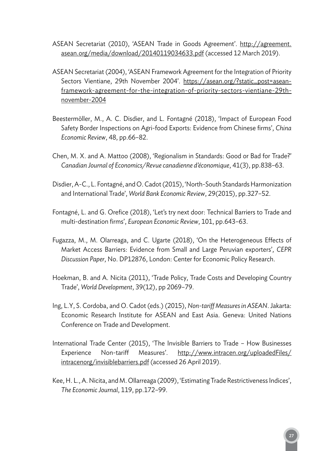- ASEAN Secretariat (2010), 'ASEAN Trade in Goods Agreement'. http://agreement. asean.org/media/download/20140119034633.pdf (accessed 12 March 2019).
- ASEAN Secretariat (2004), 'ASEAN Framework Agreement for the Integration of Priority Sectors Vientiane, 29th November 2004'. https://asean.org/?static\_post=aseanframework-agreement-for-the-integration-of-priority-sectors-vientiane-29thnovember-2004
- Beestermöller, M., A. C. Disdier, and L. Fontagné (2018), 'Impact of European Food Safety Border Inspections on Agri-food Exports: Evidence from Chinese firms', *China Economic Review*, 48, pp.66–82.
- Chen, M. X. and A. Mattoo (2008), 'Regionalism in Standards: Good or Bad for Trade?' *Canadian Journal of Economics/Revue canadienne d'économique*, 41(3), pp.838–63.
- Disdier, A-C., L. Fontagné, and O. Cadot (2015), 'North-South Standards Harmonization and International Trade', *World Bank Economic Review*, 29(2015), pp.327–52.
- Fontagné, L. and G. Orefice (2018), 'Let's try next door: Technical Barriers to Trade and multi-destination firms', *European Economic Review*, 101, pp.643–63.
- Fugazza, M., M. Olarreaga, and C. Ugarte (2018), 'On the Heterogeneous Effects of Market Access Barriers: Evidence from Small and Large Peruvian exporters', *CEPR Discussion Paper*, No. DP12876, London: Center for Economic Policy Research.
- Hoekman, B. and A. Nicita (2011), 'Trade Policy, Trade Costs and Developing Country Trade', *World Development*, 39(12), pp 2069–79.
- Ing, L.Y, S. Cordoba, and O. Cadot (eds.) (2015), *Non-tariff Measures in ASEAN*. Jakarta: Economic Research Institute for ASEAN and East Asia. Geneva: United Nations Conference on Trade and Development.
- International Trade Center (2015), 'The Invisible Barriers to Trade How Businesses Experience Non-tariff Measures'. http://www.intracen.org/uploadedFiles/ intracenorg/invisiblebarriers.pdf (accessed 26 April 2019).
- Kee, H. L., A. Nicita, and M. Ollarreaga (2009), 'Estimating Trade Restrictiveness Indices', *The Economic Journal*, 119, pp.172–99.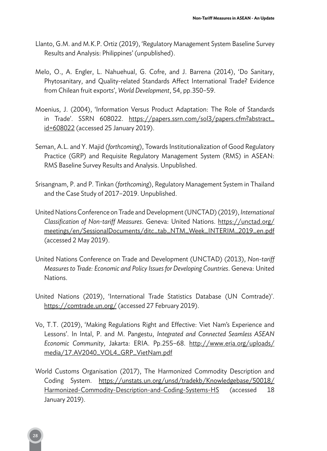- Llanto, G.M. and M.K.P. Ortiz (2019), 'Regulatory Management System Baseline Survey Results and Analysis: Philippines' (unpublished).
- Melo, O., A. Engler, L. Nahuehual, G. Cofre, and J. Barrena (2014), 'Do Sanitary, Phytosanitary, and Quality-related Standards Affect International Trade? Evidence from Chilean fruit exports', *World Development*, 54, pp.350–59.
- Moenius, J. (2004), 'Information Versus Product Adaptation: The Role of Standards in Trade'. SSRN 608022. https://papers.ssrn.com/sol3/papers.cfm?abstract\_ id=608022 (accessed 25 January 2019).
- Seman, A.L. and Y. Majid (*forthcoming*), Towards Institutionalization of Good Regulatory Practice (GRP) and Requisite Regulatory Management System (RMS) in ASEAN: RMS Baseline Survey Results and Analysis. Unpublished.
- Srisangnam, P. and P. Tinkan (*forthcoming*), Regulatory Management System in Thailand and the Case Study of 2017–2019. Unpublished.
- United Nations Conference on Trade and Development (UNCTAD) (2019), *International Classification of Non-tariff Measures*. Geneva: United Nations. https://unctad.org/ meetings/en/SessionalDocuments/ditc\_tab\_NTM\_Week\_INTERIM\_2019\_en.pdf (accessed 2 May 2019).
- United Nations Conference on Trade and Development (UNCTAD) (2013), *Non-tariff Measures to Trade: Economic and Policy Issues for Developing Countries*. Geneva: United Nations.
- United Nations (2019), 'International Trade Statistics Database (UN Comtrade)'. https://comtrade.un.org/ (accessed 27 February 2019).
- Vo, T.T. (2019), 'Making Regulations Right and Effective: Viet Nam's Experience and Lessons'. In Intal, P. and M. Pangestu, *Integrated and Connected Seamless ASEAN Economic Community*, Jakarta: ERIA. Pp.255–68. http://www.eria.org/uploads/ media/17.AV2040\_VOL4\_GRP\_VietNam.pdf
- World Customs Organisation (2017), The Harmonized Commodity Description and Coding System. https://unstats.un.org/unsd/tradekb/Knowledgebase/50018/ Harmonized-Commodity-Description-and-Coding-Systems-HS (accessed 18 January 2019).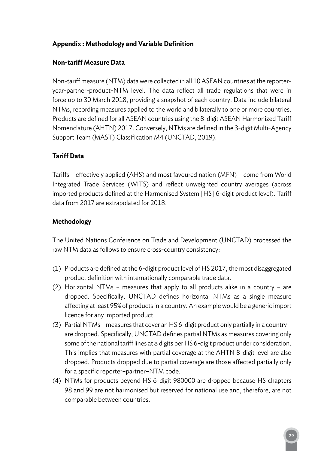### **Appendix : Methodology and Variable Definition**

### **Non-tariff Measure Data**

Non-tariff measure (NTM) data were collected in all 10 ASEAN countries at the reporteryear-partner-product-NTM level. The data reflect all trade regulations that were in force up to 30 March 2018, providing a snapshot of each country. Data include bilateral NTMs, recording measures applied to the world and bilaterally to one or more countries. Products are defined for all ASEAN countries using the 8-digit ASEAN Harmonized Tariff Nomenclature (AHTN) 2017. Conversely, NTMs are defined in the 3-digit Multi-Agency Support Team (MAST) Classification M4 (UNCTAD, 2019).

### **Tariff Data**

Tariffs – effectively applied (AHS) and most favoured nation (MFN) – come from World Integrated Trade Services (WITS) and reflect unweighted country averages (across imported products defined at the Harmonised System [HS] 6-digit product level). Tariff data from 2017 are extrapolated for 2018.

### **Methodology**

The United Nations Conference on Trade and Development (UNCTAD) processed the raw NTM data as follows to ensure cross-country consistency:

- (1) Products are defined at the 6-digit product level of HS 2017, the most disaggregated product definition with internationally comparable trade data.
- (2) Horizontal NTMs measures that apply to all products alike in a country are dropped. Specifically, UNCTAD defines horizontal NTMs as a single measure affecting at least 95% of products in a country. An example would be a generic import licence for any imported product.
- (3) Partial NTMs measures that cover an HS 6-digit product only partially in a country are dropped. Specifically, UNCTAD defines partial NTMs as measures covering only some of the national tariff lines at 8 digits per HS 6-digit product under consideration. This implies that measures with partial coverage at the AHTN 8-digit level are also dropped. Products dropped due to partial coverage are those affected partially only for a specific reporter–partner–NTM code.
- (4) NTMs for products beyond HS 6-digit 980000 are dropped because HS chapters 98 and 99 are not harmonised but reserved for national use and, therefore, are not comparable between countries.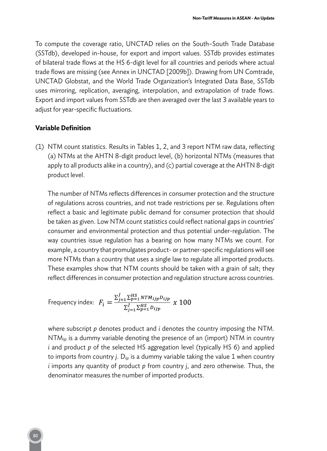To compute the coverage ratio, UNCTAD relies on the South–South Trade Database (SSTdb), developed in-house, for export and import values. SSTdb provides estimates of bilateral trade flows at the HS 6-digit level for all countries and periods where actual trade flows are missing (see Annex in UNCTAD [2009b]). Drawing from UN Comtrade, UNCTAD Globstat, and the World Trade Organization's Integrated Data Base, SSTdb uses mirroring, replication, averaging, interpolation, and extrapolation of trade flows. Export and import values from SSTdb are then averaged over the last 3 available years to adjust for year-specific fluctuations.

#### **Variable Definition**

(1) NTM count statistics. Results in Tables 1, 2, and 3 report NTM raw data, reflecting (a) NTMs at the AHTN 8-digit product level, (b) horizontal NTMs (measures that apply to all products alike in a country), and (c) partial coverage at the AHTN 8-digit product level.

The number of NTMs reflects differences in consumer protection and the structure of regulations across countries, and not trade restrictions per se. Regulations often reflect a basic and legitimate public demand for consumer protection that should be taken as given. Low NTM count statistics could reflect national gaps in countries' consumer and environmental protection and thus potential under-regulation. The way countries issue regulation has a bearing on how many NTMs we count. For example, a country that promulgates product- or partner-specific regulations will see more NTMs than a country that uses a single law to regulate all imported products. These examples show that NTM counts should be taken with a grain of salt; they reflect differences in consumer protection and regulation structure across countries.

Frequency index: 
$$
F_i = \frac{\sum_{j=1}^{J} \sum_{p=1}^{HS} N T M_{ijp} D_{ijp}}{\sum_{j=1}^{J} \sum_{p=1}^{HS} D_{ijp}} \times 100
$$

where subscript *p* denotes product and *i* denotes the country imposing the NTM.  $NTM_{\text{tip}}$  is a dummy variable denoting the presence of an (import) NTM in country *i* and product *p* of the selected HS aggregation level (typically HS 6) and applied to imports from country *j*. D<sub>ijp</sub> is a dummy variable taking the value 1 when country *i* imports any quantity of product *p* from country *j*, and zero otherwise. Thus, the denominator measures the number of imported products.